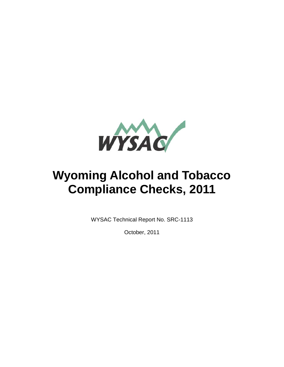

# **Wyoming Alcohol and Tobacco Compliance Checks, 2011**

WYSAC Technical Report No. SRC-1113

October, 2011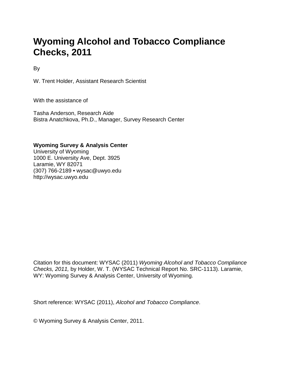## **Wyoming Alcohol and Tobacco Compliance Checks, 2011**

By

W. Trent Holder, Assistant Research Scientist

With the assistance of

Tasha Anderson, Research Aide Bistra Anatchkova, Ph.D., Manager, Survey Research Center

#### **Wyoming Survey & Analysis Center**

University of Wyoming 1000 E. University Ave, Dept. 3925 Laramie, WY 82071 (307) 766-2189 • wysac@uwyo.edu http://wysac.uwyo.edu

Citation for this document: WYSAC (2011) *Wyoming Alcohol and Tobacco Compliance Checks, 2011,* by Holder, W. T. (WYSAC Technical Report No. SRC-1113). Laramie, WY: Wyoming Survey & Analysis Center, University of Wyoming.

Short reference: WYSAC (2011), *Alcohol and Tobacco Compliance*.

© Wyoming Survey & Analysis Center, 2011.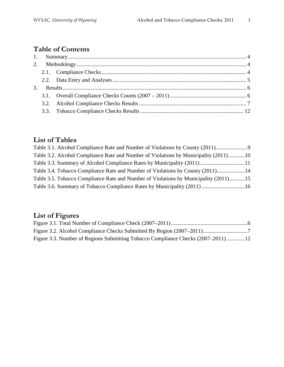## **Table of Contents**

## **List of Tables**

| Table 3.1. Alcohol Compliance Rate and Number of Violations by County (2011)         |  |
|--------------------------------------------------------------------------------------|--|
| Table 3.2. Alcohol Compliance Rate and Number of Violations by Municipality (2011)10 |  |
| Table 3.3. Summary of Alcohol Compliance Rates by Municipality (2011) 11             |  |
| Table 3.4. Tobacco Compliance Rate and Number of Violations by County (2011)14       |  |
| Table 3.5. Tobacco Compliance Rate and Number of Violations by Municipality (2011)15 |  |
|                                                                                      |  |

## **List of Figures**

| Figure 3.3. Number of Regions Submitting Tobacco Compliance Checks (2007–2011)12 |  |
|----------------------------------------------------------------------------------|--|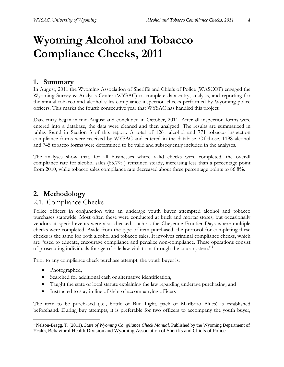## **Wyoming Alcohol and Tobacco Compliance Checks, 2011**

#### <span id="page-3-0"></span>**1. Summary**

In August, 2011 the Wyoming Association of Sheriffs and Chiefs of Police (WASCOP) engaged the Wyoming Survey & Analysis Center (WYSAC) to complete data entry, analysis, and reporting for the annual tobacco and alcohol sales compliance inspection checks performed by Wyoming police officers. This marks the fourth consecutive year that WYSAC has handled this project.

Data entry began in mid-August and concluded in October, 2011. After all inspection forms were entered into a database, the data were cleaned and then analyzed. The results are summarized in tables found in Section 3 of this report. A total of 1261 alcohol and 771 tobacco inspection compliance forms were received by WYSAC and entered in the database. Of those, 1198 alcohol and 745 tobacco forms were determined to be valid and subsequently included in the analyses.

The analyses show that, for all businesses where valid checks were completed, the overall compliance rate for alcohol sales (85.7% ) remained steady, increasing less than a percentage point from 2010, while tobacco sales compliance rate decreased about three percentage points to 86.8%.

### <span id="page-3-1"></span>**2. Methodology**

#### <span id="page-3-2"></span>2.1. Compliance Checks

Police officers in conjunction with an underage youth buyer attempted alcohol and tobacco purchases statewide. Most often these were conducted at brick and mortar stores, but occasionally vendors at special events were also checked, such as the Cheyenne Frontier Days where multiple checks were completed. Aside from the type of item purchased, the protocol for completing these checks is the same for both alcohol and tobacco sales. It involves criminal compliance checks, which are "used to educate, encourage compliance and penalize non-compliance. These operations consist of prosecuting individuals for age-of-sale law violations through the court system."[1](#page-3-3)

Prior to any compliance check purchase attempt, the youth buyer is:

- Photographed,
- Searched for additional cash or alternative identification,
- Taught the state or local statute explaining the law regarding underage purchasing, and
- Instructed to stay in line of sight of accompanying officers

The item to be purchased (i.e., bottle of Bud Light, pack of Marlboro Blues) is established beforehand. During buy attempts, it is preferable for two officers to accompany the youth buyer,

<span id="page-3-3"></span><sup>&</sup>lt;sup>1</sup> Nelson-Bragg, T. (2011). *State of Wyoming Compliance Check Manual*. Published by the Wyoming Department of Health, Behavioral Health Division and Wyoming Association of Sheriffs and Chiefs of Police.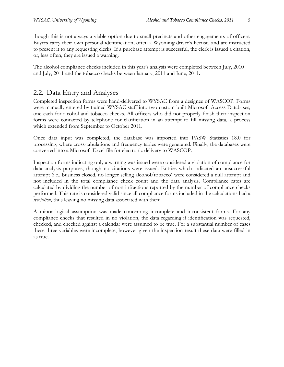though this is not always a viable option due to small precincts and other engagements of officers. Buyers carry their own personal identification, often a Wyoming driver's license, and are instructed to present it to any requesting clerks. If a purchase attempt is successful, the clerk is issued a citation, or, less often, they are issued a warning.

The alcohol compliance checks included in this year's analysis were completed between July, 2010 and July, 2011 and the tobacco checks between January, 2011 and June, 2011.

### <span id="page-4-0"></span>2.2. Data Entry and Analyses

Completed inspection forms were hand-delivered to WYSAC from a designee of WASCOP. Forms were manually entered by trained WYSAC staff into two custom-built Microsoft Access Databases; one each for alcohol and tobacco checks. All officers who did not properly finish their inspection forms were contacted by telephone for clarification in an attempt to fill missing data, a process which extended from September to October 2011.

Once data input was completed, the database was imported into PASW Statistics 18.0 for processing, where cross-tabulations and frequency tables were generated. Finally, the databases were converted into a Microsoft Excel file for electronic delivery to WASCOP.

Inspection forms indicating only a warning was issued were considered a violation of compliance for data analysis purposes, though no citations were issued. Entries which indicated an unsuccessful attempt (i.e., business closed, no longer selling alcohol/tobacco) were considered a null attempt and not included in the total compliance check count and the data analysis. Compliance rates are calculated by dividing the number of non-infractions reported by the number of compliance checks performed. This rate is considered valid since all compliance forms included in the calculations had a *resolution*, thus leaving no missing data associated with them.

A minor logical assumption was made concerning incomplete and inconsistent forms. For any compliance checks that resulted in no violation, the data regarding if identification was requested, checked, and checked against a calendar were assumed to be true. For a substantial number of cases these three variables were incomplete, however given the inspection result these data were filled in as true.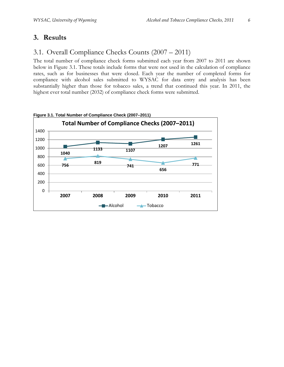## <span id="page-5-0"></span>**3. Results**

## <span id="page-5-1"></span>3.1. Overall Compliance Checks Counts (2007 – 2011)

The total number of compliance check forms submitted each year from 2007 to 2011 are shown below in Figure 3.1. These totals include forms that were not used in the calculation of compliance rates, such as for businesses that were closed. Each year the number of completed forms for compliance with alcohol sales submitted to WYSAC for data entry and analysis has been substantially higher than those for tobacco sales, a trend that continued this year. In 2011, the highest ever total number (2032) of compliance check forms were submitted.



<span id="page-5-2"></span>**Figure 3.1. Total Number of Compliance Check (2007–2011)**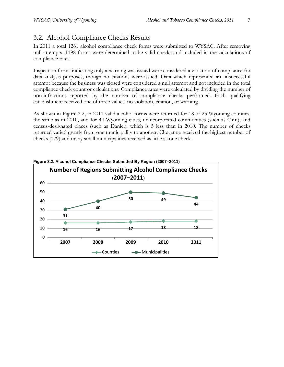## <span id="page-6-0"></span>3.2. Alcohol Compliance Checks Results

In 2011 a total 1261 alcohol compliance check forms were submitted to WYSAC. After removing null attempts, 1198 forms were determined to be valid checks and included in the calculations of compliance rates.

Inspection forms indicating only a warning was issued were considered a violation of compliance for data analysis purposes, though no citations were issued. Data which represented an unsuccessful attempt because the business was closed were considered a null attempt and not included in the total compliance check count or calculations. Compliance rates were calculated by dividing the number of non-infractions reported by the number of compliance checks performed. Each qualifying establishment received one of three values: no violation, citation, or warning.

As shown in Figure 3.2, in 2011 valid alcohol forms were returned for 18 of 23 Wyoming counties, the same as in 2010, and for 44 Wyoming cities, unincorporated communities (such as Orin), and [census-designated places](http://en.wikipedia.org/wiki/Census-designated_place) (such as Daniel), which is 5 less than in 2010. The number of checks returned varied greatly from one municipality to another; Cheyenne received the highest number of checks (179) and many small municipalities received as little as one check..

<span id="page-6-1"></span>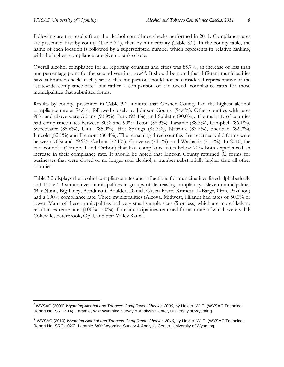Following are the results from the alcohol compliance checks performed in 2011. Compliance rates are presented first by county (Table 3.1), then by municipality (Table 3.2). In the county table, the name of each location is followed by a superscripted number which represents its relative ranking, with the highest compliance rate given a rank of one.

Overall alcohol compliance for all reporting counties and cities was 85.7%, an increase of less than one percentage point for the second year in a row<sup>2,[3](#page-7-1)</sup>. It should be noted that different municipalities have submitted checks each year, so this comparison should not be considered representative of the "statewide compliance rate" but rather a comparison of the overall compliance rates for those municipalities that submitted forms.

Results by county, presented in Table 3.1, indicate that Goshen County had the highest alcohol compliance rate at 94.6%, followed closely by Johnson County (94.4%). Other counties with rates 90% and above were Albany (93.9%), Park (93.4%), and Sublette (90.0%). The majority of counties had compliance rates between 80% and 90%: Teton (88.3%), Laramie (88.3%), Campbell (86.1%), Sweetwater (85.6%), Uinta (85.0%), Hot Springs (83.3%), Natrona (83.2%), Sheridan (82.7%), Lincoln (82.1%) and Fremont (80.4%). The remaining three counties that returned valid forms were between 70% and 79.9%: Carbon (77.1%), Converse (74.1%), and Washakie (71.4%). In 2010, the two counties (Campbell and Carbon) that had compliance rates below 70% both experienced an increase in their compliance rate. It should be noted that Lincoln County returned 32 forms for businesses that were closed or no longer sold alcohol, a number substantially higher than all other counties.

Table 3.2 displays the alcohol compliance rates and infractions for municipalities listed alphabetically and Table 3.3 summarizes municipalities in groups of decreasing compliancy. Eleven municipalities (Bar Nunn, Big Piney, Bondurant, Boulder, Daniel, Green River, Kinnear, LaBarge, Orin, Pavillion) had a 100% compliance rate. Three municipalities (Alcova, Midwest, Hiland) had rates of 50.0% or lower. Many of these municipalities had very small sample sizes (5 or less) which are more likely to result in extreme rates (100% or 0%). Four municipalities returned forms none of which were valid: Cokeville, Esterbrook, Opal, and Star Valley Ranch.

<span id="page-7-0"></span><sup>&</sup>lt;sup>2</sup> WYSAC (2009) Wyoming Alcohol and Tobacco Compliance Checks, 2009, by Holder, W. T. (WYSAC Technical Report No. SRC-914). Laramie, WY: Wyoming Survey & Analysis Center, University of Wyoming.

<span id="page-7-1"></span><sup>&</sup>lt;sup>3</sup> WYSAC (2010) *Wyoming Alcohol and Tobacco Compliance Checks, 2010,* by Holder, W. T. (WYSAC Technical Report No. SRC-1020). Laramie, WY: Wyoming Survey & Analysis Center, University of Wyoming.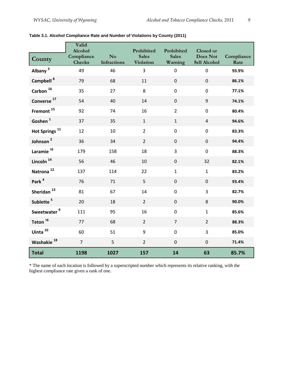|                           | Valid<br>Alcohol            |                                      | Prohibited                       | Prohibited              | <b>Closed or</b>                |                    |
|---------------------------|-----------------------------|--------------------------------------|----------------------------------|-------------------------|---------------------------------|--------------------|
| County                    | Compliance<br><b>Checks</b> | N <sub>o</sub><br><b>Infractions</b> | <b>Sales</b><br><b>Violation</b> | <b>Sales</b><br>Warning | <b>Does Not</b><br>Sell Alcohol | Compliance<br>Rate |
| Albany <sup>3</sup>       | 49                          | 46                                   | 3                                | $\pmb{0}$               | $\mathbf 0$                     | 93.9%              |
| Campbell <sup>8</sup>     | 79                          | 68                                   | 11                               | $\mathbf 0$             | $\mathbf 0$                     | 86.1%              |
| Carbon $^{16}$            | 35                          | 27                                   | 8                                | $\pmb{0}$               | $\mathbf 0$                     | 77.1%              |
| Converse <sup>17</sup>    | 54                          | 40                                   | 14                               | $\boldsymbol{0}$        | 9                               | 74.1%              |
| Fremont <sup>15</sup>     | 92                          | 74                                   | 16                               | $\overline{2}$          | $\overline{0}$                  | 80.4%              |
| Goshen <sup>1</sup>       | 37                          | 35                                   | $\mathbf{1}$                     | $\mathbf{1}$            | $\overline{4}$                  | 94.6%              |
| Hot Springs <sup>11</sup> | 12                          | 10                                   | $\overline{2}$                   | $\pmb{0}$               | $\mathbf 0$                     | 83.3%              |
| Johnson <sup>2</sup>      | 36                          | 34                                   | $\overline{2}$                   | $\boldsymbol{0}$        | $\pmb{0}$                       | 94.4%              |
| Laramie $^{76}$           | 179                         | 158                                  | 18                               | 3                       | $\mathbf 0$                     | 88.3%              |
| Lincoln <sup>14</sup>     | 56                          | 46                                   | 10                               | $\mathbf 0$             | 32                              | 82.1%              |
| Natrona <sup>12</sup>     | 137                         | 114                                  | 22                               | $\mathbf{1}$            | $\mathbf{1}$                    | 83.2%              |
| Park <sup>4</sup>         | 76                          | 71                                   | 5                                | $\pmb{0}$               | $\mathbf 0$                     | 93.4%              |
| Sheridan <sup>13</sup>    | 81                          | 67                                   | 14                               | $\pmb{0}$               | 3                               | 82.7%              |
| Sublette <sup>5</sup>     | 20                          | 18                                   | $\overline{2}$                   | $\mathbf 0$             | 8                               | 90.0%              |
| Sweetwater <sup>9</sup>   | 111                         | 95                                   | 16                               | $\pmb{0}$               | $\mathbf{1}$                    | 85.6%              |
| Teton $^{76}$             | 77                          | 68                                   | $\overline{2}$                   | $\overline{7}$          | $\overline{2}$                  | 88.3%              |
| Uinta <sup>10</sup>       | 60                          | 51                                   | 9                                | $\pmb{0}$               | 3                               | 85.0%              |
| Washakie <sup>18</sup>    | $\overline{7}$              | 5                                    | $\overline{2}$                   | $\pmb{0}$               | $\boldsymbol{0}$                | 71.4%              |
| <b>Total</b>              | 1198                        | 1027                                 | 157                              | 14                      | 63                              | 85.7%              |

#### <span id="page-8-0"></span>**Table 3.1. Alcohol Compliance Rate and Number of Violations by County (2011)**

\* The name of each location is followed by a superscripted number which represents its relative ranking, with the highest compliance rate given a rank of one.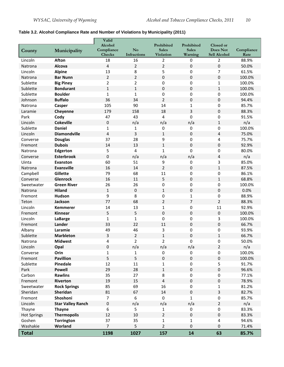#### <span id="page-9-0"></span>**Table 3.2. Alcohol Compliance Rate and Number of Violations by Municipality (2011)**

|                    |                          | Valid                   |                        |                            |                            |                         |            |
|--------------------|--------------------------|-------------------------|------------------------|----------------------------|----------------------------|-------------------------|------------|
|                    |                          | Alcohol<br>Compliance   | $\mathbf{N}\mathbf{o}$ | Prohibited<br><b>Sales</b> | Prohibited<br><b>Sales</b> | Closed or<br>Does Not   | Compliance |
| County             | Municipality             | <b>Checks</b>           | Infractions            | <b>Violation</b>           | Warning                    | Sell Alcohol            | Rate       |
| Lincoln            | <b>Afton</b>             | 18                      | 16                     | 2                          | 0                          | $\overline{2}$          | 88.9%      |
| Natrona            | Alcova                   | $\overline{\mathbf{4}}$ | $\overline{2}$         | $\overline{2}$             | 0                          | $\pmb{0}$               | 50.0%      |
| Lincoln            | <b>Alpine</b>            | 13                      | 8                      | 5                          | 0                          | $\overline{7}$          | 61.5%      |
| Natrona            | <b>Bar Nunn</b>          | $\overline{2}$          | $\overline{2}$         | $\boldsymbol{0}$           | 0                          | 0                       | 100.0%     |
| Sublette           | <b>Big Piney</b>         | $\overline{2}$          | $\overline{2}$         | $\boldsymbol{0}$           | 0                          | 1                       | 100.0%     |
| Sublette           | <b>Bondurant</b>         | $\mathbf{1}$            | $\mathbf{1}$           | $\boldsymbol{0}$           | $\pmb{0}$                  | $\mathbf{1}$            | 100.0%     |
| Sublette           | <b>Boulder</b>           | $\mathbf{1}$            | $\mathbf{1}$           | $\boldsymbol{0}$           | 0                          | 0                       | 100.0%     |
| Johnson            | <b>Buffalo</b>           | 36                      | 34                     | $\overline{2}$             | 0                          | 0                       | 94.4%      |
| Natrona            | Casper                   | 105                     | 90                     | 14                         | $\mathbf{1}$               | 0                       | 85.7%      |
| Laramie            | Cheyenne                 | 179                     | 158                    | 18                         | 3                          | $\mathbf 0$             | 88.3%      |
| Park               | Cody                     | 47                      | 43                     | 4                          | $\mathbf 0$                | 0                       | 91.5%      |
| Lincoln            | <b>Cokeville</b>         | $\pmb{0}$               | n/a                    | n/a                        | n/a                        | $\mathbf{1}$            | n/a        |
| Sublette           | <b>Daniel</b>            | $\mathbf{1}$            | 1                      | $\mathbf 0$                | $\pmb{0}$                  | 0                       | 100.0%     |
| Lincoln            | <b>Diamondville</b>      | $\overline{4}$          | 3                      | $\mathbf{1}$               | 0                          | 4                       | 75.0%      |
| Converse           | <b>Douglas</b>           | 37                      | 28                     | 9                          | 0                          | 4                       | 75.7%      |
| Fremont            | <b>Dubois</b>            | 14                      | 13                     | $\mathbf{1}$               | 0                          | 0                       | 92.9%      |
| Natrona            | Edgerton                 | 5                       | 4                      | $\mathbf{1}$               | 0                          | 0                       | 80.0%      |
| Converse           | <b>Esterbrook</b>        | $\boldsymbol{0}$        | n/a                    | n/a                        | n/a                        | 4                       | n/a        |
| Uinta              | Evanston                 | 60                      | 51                     | 9                          | 0                          | 3                       | 85.0%      |
| Natrona            | <b>Evansville</b>        | 16                      | 14                     | $\overline{2}$             | 0                          | $\mathbf 1$             | 87.5%      |
| Campbell           | Gillette                 | 79                      | 68                     | 11                         | 0                          | 0                       | 86.1%      |
| Converse           | Glenrock                 | 16                      | 11                     | 5                          | 0                          | $\mathbf{1}$            | 68.8%      |
| Sweetwater         | <b>Green River</b>       | 26                      | 26                     | 0                          | 0                          | 0                       | 100.0%     |
| Natrona            | <b>Hiland</b>            | $\mathbf 1$             | $\pmb{0}$              | $\mathbf 1$                | 0                          | $\overline{0}$          | 0.0%       |
| Fremont            | Hudson                   | 9                       | 8                      | 0                          | $\mathbf{1}$               | $\mathbf 0$             | 88.9%      |
| Teton              | Jackson                  | 77                      | 68                     | $\overline{2}$             | $\overline{7}$             | $\overline{2}$          | 88.3%      |
| Lincoln            | <b>Kemmerer</b>          | 14                      | 13                     | $\mathbf{1}$               | 0                          | 11                      | 92.9%      |
| Fremont            | Kinnear                  | 5                       | 5                      | $\boldsymbol{0}$           | 0                          | 0                       | 100.0%     |
| Lincoln            | LaBarge                  | $\mathbf{1}$            | $\mathbf{1}$           | 0                          | 0                          | 3                       | 100.0%     |
| Fremont            | Lander                   | 33                      | 22                     | 11                         | 0                          | 0                       | 66.7%      |
| Albany             | Laramie                  | 49                      | 46                     | 3                          | 0                          | 0                       | 93.9%      |
| Sublette           | <b>Marbleton</b>         | 3                       | $\overline{2}$         | $\mathbf 1$                | 0                          | $\mathbf 1$             | 66.7%      |
| Natrona            | <b>Midwest</b>           | 4                       | 2                      | 2                          | 0                          | 0                       | 50.0%      |
| Lincoln            | Opal                     | $\pmb{0}$               | n/a                    | n/a                        | n/a                        | $\overline{2}$          | n/a        |
| Converse           | Orin                     | $\mathbf{1}$            | 1                      | 0                          | 0                          | 0                       | 100.0%     |
| Fremont            | <b>Pavillion</b>         | 5                       | 5                      | $\boldsymbol{0}$           | $\pmb{0}$                  | $\pmb{0}$               | 100.0%     |
| Sublette           | Pinedale                 | 12                      | 11                     | 1                          | 0                          | 5                       | 91.7%      |
| Park               | <b>Powell</b>            | 29                      | 28                     | $\mathbf{1}$               | 0                          | $\pmb{0}$               | 96.6%      |
| Carbon             | <b>Rawlins</b>           | 35                      | 27                     | $\,8\,$                    | 0                          | $\pmb{0}$               | 77.1%      |
| Fremont            | Riverton                 | 19                      | 15                     | 4                          | $\mathbf 0$                | $\pmb{0}$               | 78.9%      |
| Sweetwater         | <b>Rock Springs</b>      | 85                      | 69                     | 16                         | 0                          | $\mathbf{1}$            | 81.2%      |
| Sheridan           | Sheridan                 | 81                      | 67                     | 14                         | $\mathbf 0$                | $\overline{3}$          | 82.7%      |
| Fremont            | Shoshoni                 | $\overline{7}$          | $\boldsymbol{6}$       | $\mathbf 0$                | $\mathbf{1}$               | $\pmb{0}$               | 85.7%      |
| Lincoln            | <b>Star Valley Ranch</b> | $\pmb{0}$               | n/a                    | n/a                        | n/a                        | $\overline{2}$          | n/a        |
| Thayne             | <b>Thayne</b>            | 6                       | 5                      | 1                          | 0                          | 0                       | 83.3%      |
| <b>Hot Springs</b> | <b>Thermopolis</b>       | 12                      | 10                     | $\overline{2}$             | $\pmb{0}$                  | $\pmb{0}$               | 83.3%      |
| Goshen             | Torrington               | 37                      | 35                     | $\mathbf{1}$               | $\mathbf{1}$               | $\overline{\mathbf{4}}$ | 94.6%      |
| Washakie           | Worland                  | $\overline{7}$          | 5                      | $\overline{2}$             | 0                          | $\pmb{0}$               | 71.4%      |
| <b>Total</b>       |                          | 1198                    | 1027                   | 157                        | 14                         | 63                      | 85.7%      |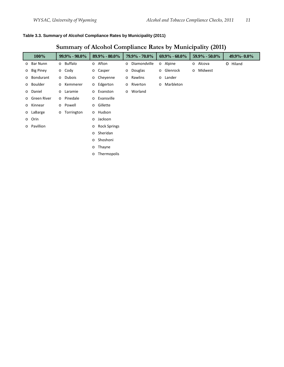#### <span id="page-10-0"></span>**Table 3.3. Summary of Alcohol Compliance Rates by Municipality (2011)**

## **Summary of Alcohol Compliance Rates by Municipality (2011)**

| 100%          |         | $99.9\% - 90.0\%$ |         | $89.9\% - 80.0\%$   | 79.9% - 70.0%  |         | $69.9\% - 60.0\%$ | $59.9\% - 50.0\%$ | 49.9% - 0.0% |
|---------------|---------|-------------------|---------|---------------------|----------------|---------|-------------------|-------------------|--------------|
| o Bar Nunn    |         | o Buffalo         |         | o Afton             | o Diamondville |         | o Alpine          | o Alcova          | O Hiland     |
| o Big Piney   |         | $\circ$ Cody      |         | o Casper            | o Douglas      |         | o Glenrock        | o Midwest         |              |
| o Bondurant   |         | o Dubois          |         | o Cheyenne          | o Rawlins      | $\circ$ | Lander            |                   |              |
| o Boulder     | $\circ$ | Kemmerer          |         | o Edgerton          | o Riverton     | $\circ$ | Marbleton         |                   |              |
| o Daniel      |         | o Laramie         |         | o Evanston          | o Worland      |         |                   |                   |              |
| o Green River |         | o Pinedale        |         | o Evansville        |                |         |                   |                   |              |
| o Kinnear     |         | o Powell          |         | o Gillette          |                |         |                   |                   |              |
| o LaBarge     | $\circ$ | Torrington        |         | o Hudson            |                |         |                   |                   |              |
| o Orin        |         |                   | $\circ$ | Jackson             |                |         |                   |                   |              |
| o Pavillion   |         |                   | $\circ$ | <b>Rock Springs</b> |                |         |                   |                   |              |
|               |         |                   | $\circ$ | Sheridan            |                |         |                   |                   |              |
|               |         |                   | $\circ$ | Shoshoni            |                |         |                   |                   |              |
|               |         |                   | $\circ$ | Thayne              |                |         |                   |                   |              |
|               |         |                   | $\circ$ | Thermopolis         |                |         |                   |                   |              |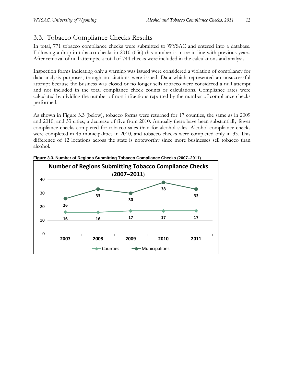## <span id="page-11-0"></span>3.3. Tobacco Compliance Checks Results

In total, 771 tobacco compliance checks were submitted to WYSAC and entered into a database. Following a drop in tobacco checks in 2010 (656) this number is more in line with previous years. After removal of null attempts, a total of 744 checks were included in the calculations and analysis.

Inspection forms indicating only a warning was issued were considered a violation of compliancy for data analysis purposes, though no citations were issued. Data which represented an unsuccessful attempt because the business was closed or no longer sells tobacco were considered a null attempt and not included in the total compliance check counts or calculations. Compliance rates were calculated by dividing the number of non-infractions reported by the number of compliance checks performed.

As shown in Figure 3.3 (below), tobacco forms were returned for 17 counties, the same as in 2009 and 2010, and 33 cities, a decrease of five from 2010. Annually there have been substantially fewer compliance checks completed for tobacco sales than for alcohol sales. Alcohol compliance checks were completed in 45 municipalities in 2010, and tobacco checks were completed only in 33. This difference of 12 locations across the state is noteworthy since more businesses sell tobacco than alcohol.



<span id="page-11-1"></span>**Figure 3.3. Number of Regions Submitting Tobacco Compliance Checks (2007–2011)**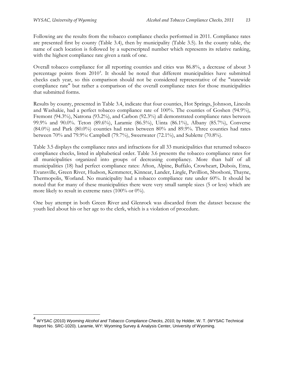Following are the results from the tobacco compliance checks performed in 2011. Compliance rates are presented first by county (Table 3.4), then by municipality (Table 3.5). In the county table, the name of each location is followed by a superscripted number which represents its relative ranking, with the highest compliance rate given a rank of one.

Overall tobacco compliance for all reporting counties and cities was 86.8%, a decrease of about 3 percentage points from 2010<sup>[4](#page-12-0)</sup>. It should be noted that different municipalities have submitted checks each year, so this comparison should not be considered representative of the "statewide compliance rate" but rather a comparison of the overall compliance rates for those municipalities that submitted forms.

Results by county, presented in Table 3.4, indicate that four counties, Hot Springs, Johnson, Lincoln and Washakie, had a perfect tobacco compliance rate of 100%. The counties of Goshen (94.9%), Fremont (94.3%), Natrona (93.2%), and Carbon (92.3%) all demonstrated compliance rates between 99.9% and 90.0%. Teton (89.6%), Laramie (86.5%), Uinta (86.1%), Albany (85.7%), Converse (84.0%) and Park (80.0%) counties had rates between 80% and 89.9%. Three counties had rates between 70% and 79.9%: Campbell (79.7%), Sweetwater (72.1%), and Sublette (70.8%).

Table 3.5 displays the compliance rates and infractions for all 33 municipalities that returned tobacco compliance checks, listed in alphabetical order. Table 3.6 presents the tobacco compliance rates for all municipalities organized into groups of decreasing compliancy. More than half of all municipalities (18) had perfect compliance rates: Afton, Alpine, Buffalo, Crowheart, Dubois, Etna, Evansville, Green River, Hudson, Kemmerer, Kinnear, Lander, Lingle, Pavillion, Shoshoni, Thayne, Thermopolis, Worland. No municipality had a tobacco compliance rate under 60%. It should be noted that for many of these municipalities there were very small sample sizes (5 or less) which are more likely to result in extreme rates (100% or 0%).

One buy attempt in both Green River and Glenrock was discarded from the dataset because the youth lied about his or her age to the clerk, which is a violation of procedure.

<span id="page-12-0"></span><sup>&</sup>lt;sup>4</sup> WYSAC (2010) *Wyoming Alcohol and Tobacco Compliance Checks, 2010,* by Holder, W. T. (WYSAC Technical Report No. SRC-1020). Laramie, WY: Wyoming Survey & Analysis Center, University of Wyoming.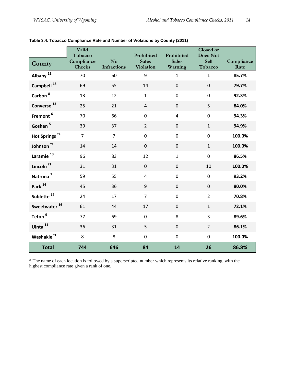|                           | Valid<br>Tobacco            |                               | Prohibited                       | Prohibited              | <b>Closed or</b><br><b>Does Not</b> |                    |
|---------------------------|-----------------------------|-------------------------------|----------------------------------|-------------------------|-------------------------------------|--------------------|
| County                    | Compliance<br><b>Checks</b> | N <sub>o</sub><br>Infractions | <b>Sales</b><br><b>Violation</b> | <b>Sales</b><br>Warning | <b>Sell</b><br>Tobacco              | Compliance<br>Rate |
| Albany <sup>12</sup>      | 70                          | 60                            | 9                                | $\mathbf{1}$            | $\mathbf{1}$                        | 85.7%              |
| Campbell <sup>15</sup>    | 69                          | 55                            | 14                               | $\mathbf 0$             | $\mathbf 0$                         | 79.7%              |
| Carbon <sup>8</sup>       | 13                          | 12                            | $\mathbf{1}$                     | $\boldsymbol{0}$        | $\mathbf 0$                         | 92.3%              |
| Converse <sup>13</sup>    | 25                          | 21                            | $\overline{4}$                   | $\mathbf 0$             | 5                                   | 84.0%              |
| Fremont <sup>6</sup>      | 70                          | 66                            | $\mathbf 0$                      | $\overline{4}$          | $\pmb{0}$                           | 94.3%              |
| Goshen <sup>5</sup>       | 39                          | 37                            | $\overline{2}$                   | $\overline{0}$          | $\mathbf{1}$                        | 94.9%              |
| Hot Springs <sup>11</sup> | $\overline{7}$              | $\overline{7}$                | $\mathbf 0$                      | $\mathbf 0$             | $\mathbf 0$                         | 100.0%             |
| Johnson <sup>11</sup>     | 14                          | 14                            | $\mathbf 0$                      | $\mathbf 0$             | $\mathbf{1}$                        | 100.0%             |
| Laramie <sup>10</sup>     | 96                          | 83                            | 12                               | $\mathbf{1}$            | $\pmb{0}$                           | 86.5%              |
| Lincoln $^{71}$           | 31                          | 31                            | $\pmb{0}$                        | $\pmb{0}$               | 10                                  | 100.0%             |
| Natrona <sup>7</sup>      | 59                          | 55                            | $\overline{\mathbf{4}}$          | $\boldsymbol{0}$        | $\mathbf 0$                         | 93.2%              |
| Park <sup>14</sup>        | 45                          | 36                            | 9                                | $\mathbf 0$             | $\overline{0}$                      | 80.0%              |
| Sublette <sup>17</sup>    | 24                          | 17                            | $\overline{7}$                   | $\mathbf 0$             | $\overline{2}$                      | 70.8%              |
| Sweetwater <sup>16</sup>  | 61                          | 44                            | 17                               | $\mathbf 0$             | $\mathbf{1}$                        | 72.1%              |
| Teton <sup>9</sup>        | 77                          | 69                            | $\mathbf 0$                      | 8                       | $\overline{3}$                      | 89.6%              |
| Uinta <sup>11</sup>       | 36                          | 31                            | 5                                | $\mathbf 0$             | $\overline{2}$                      | 86.1%              |
| Washakie <sup>11</sup>    | 8                           | 8                             | $\mathbf 0$                      | $\mathbf 0$             | $\mathbf 0$                         | 100.0%             |
| <b>Total</b>              | 744                         | 646                           | 84                               | 14                      | 26                                  | 86.8%              |

<span id="page-13-0"></span>

| Table 3.4. Tobacco Compliance Rate and Number of Violations by County (2011) |  |  |  |  |  |
|------------------------------------------------------------------------------|--|--|--|--|--|
|------------------------------------------------------------------------------|--|--|--|--|--|

\* The name of each location is followed by a superscripted number which represents its relative ranking, with the highest compliance rate given a rank of one.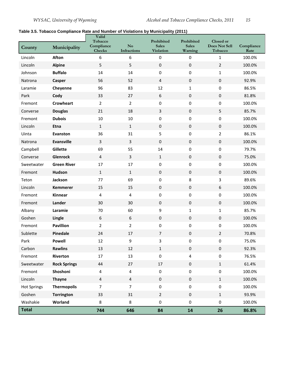#### <span id="page-14-0"></span>**Table 3.5. Tobacco Compliance Rate and Number of Violations by Municipality (2011)**

| County             | Municipality        | Valid<br>Tobacco<br>Compliance<br><b>Checks</b> | No<br>Infractions       | Prohibited<br><b>Sales</b><br><b>Violation</b> | Prohibited<br><b>Sales</b><br>Warning | Closed or<br>Does Not Sell<br>Tobacco | Compliance<br>Rate |
|--------------------|---------------------|-------------------------------------------------|-------------------------|------------------------------------------------|---------------------------------------|---------------------------------------|--------------------|
| Lincoln            | <b>Afton</b>        | 6                                               | 6                       | $\pmb{0}$                                      | 0                                     | $\mathbf 1$                           | 100.0%             |
| Lincoln            | <b>Alpine</b>       | 5                                               | 5                       | $\pmb{0}$                                      | 0                                     | $\overline{2}$                        | 100.0%             |
| Johnson            | <b>Buffalo</b>      | 14                                              | 14                      | $\pmb{0}$                                      | 0                                     | $\mathbf{1}$                          | 100.0%             |
| Natrona            | Casper              | 56                                              | 52                      | 4                                              | 0                                     | $\pmb{0}$                             | 92.9%              |
| Laramie            | Cheyenne            | 96                                              | 83                      | 12                                             | 1                                     | 0                                     | 86.5%              |
| Park               | Cody                | 33                                              | 27                      | 6                                              | 0                                     | $\pmb{0}$                             | 81.8%              |
| Fremont            | <b>Crowheart</b>    | $\overline{2}$                                  | $\overline{2}$          | $\pmb{0}$                                      | 0                                     | 0                                     | 100.0%             |
| Converse           | <b>Douglas</b>      | 21                                              | 18                      | $\overline{3}$                                 | 0                                     | 5                                     | 85.7%              |
| Fremont            | <b>Dubois</b>       | 10                                              | 10                      | 0                                              | 0                                     | 0                                     | 100.0%             |
| Lincoln            | Etna                | $\mathbf{1}$                                    | $\mathbf 1$             | $\mathbf 0$                                    | 0                                     | $\pmb{0}$                             | 100.0%             |
| Uinta              | Evanston            | 36                                              | 31                      | 5                                              | 0                                     | $\overline{2}$                        | 86.1%              |
| Natrona            | <b>Evansville</b>   | 3                                               | $\mathbf{3}$            | $\pmb{0}$                                      | 0                                     | $\pmb{0}$                             | 100.0%             |
| Campbell           | Gillette            | 69                                              | 55                      | 14                                             | 0                                     | 0                                     | 79.7%              |
| Converse           | Glenrock            | $\overline{a}$                                  | $\mathbf{3}$            | $\mathbf{1}$                                   | 0                                     | $\pmb{0}$                             | 75.0%              |
| Sweetwater         | <b>Green River</b>  | 17                                              | 17                      | $\pmb{0}$                                      | 0                                     | 0                                     | 100.0%             |
| Fremont            | Hudson              | $\mathbf{1}$                                    | $\mathbf 1$             | $\pmb{0}$                                      | 0                                     | $\pmb{0}$                             | 100.0%             |
| Teton              | Jackson             | 77                                              | 69                      | 0                                              | 8                                     | 3                                     | 89.6%              |
| Lincoln            | <b>Kemmerer</b>     | 15                                              | 15                      | $\mathbf 0$                                    | 0                                     | 6                                     | 100.0%             |
| Fremont            | Kinnear             | 4                                               | 4                       | $\pmb{0}$                                      | 0                                     | 0                                     | 100.0%             |
| Fremont            | Lander              | 30                                              | 30                      | $\pmb{0}$                                      | 0                                     | $\pmb{0}$                             | 100.0%             |
| Albany             | Laramie             | 70                                              | 60                      | 9                                              | 1                                     | $\mathbf{1}$                          | 85.7%              |
| Goshen             | Lingle              | 6                                               | 6                       | $\pmb{0}$                                      | 0                                     | $\pmb{0}$                             | 100.0%             |
| Fremont            | <b>Pavillion</b>    | $\overline{2}$                                  | $\overline{2}$          | $\pmb{0}$                                      | 0                                     | 0                                     | 100.0%             |
| Sublette           | Pinedale            | 24                                              | 17                      | 7                                              | $\boldsymbol{0}$                      | $\overline{2}$                        | 70.8%              |
| Park               | Powell              | 12                                              | 9                       | 3                                              | 0                                     | 0                                     | 75.0%              |
| Carbon             | <b>Rawlins</b>      | 13                                              | 12                      | $\mathbf{1}$                                   | $\boldsymbol{0}$                      | $\boldsymbol{0}$                      | 92.3%              |
| Fremont            | Riverton            | $17\,$                                          | 13                      | $\pmb{0}$                                      | 4                                     | 0                                     | 76.5%              |
| Sweetwater         | <b>Rock Springs</b> | 44                                              | 27                      | $17\,$                                         | $\pmb{0}$                             | $\mathbf 1$                           | 61.4%              |
| Fremont            | Shoshoni            | 4                                               | 4                       | 0                                              | 0                                     | 0                                     | 100.0%             |
| Lincoln            | <b>Thayne</b>       | $\overline{4}$                                  | $\overline{\mathbf{4}}$ | $\pmb{0}$                                      | $\pmb{0}$                             | $\mathbf{1}$                          | 100.0%             |
| <b>Hot Springs</b> | <b>Thermopolis</b>  | $\overline{7}$                                  | $\overline{7}$          | $\pmb{0}$                                      | 0                                     | 0                                     | 100.0%             |
| Goshen             | <b>Torrington</b>   | 33                                              | 31                      | $\overline{2}$                                 | $\pmb{0}$                             | $1\,$                                 | 93.9%              |
| Washakie           | Worland             | 8                                               | 8                       | 0                                              | 0                                     | $\pmb{0}$                             | 100.0%             |
| <b>Total</b>       |                     | 744                                             | 646                     | 84                                             | 14                                    | 26                                    | 86.8%              |